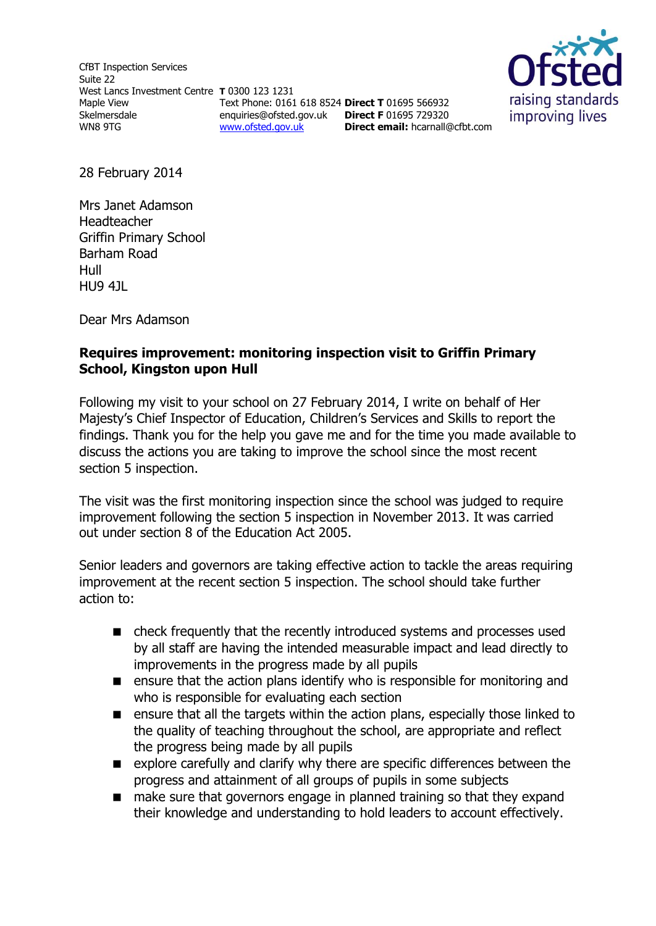CfBT Inspection Services Suite 22 West Lancs Investment Centre **T** 0300 123 1231 Maple View Skelmersdale WN8 9TG

Text Phone: 0161 618 8524 **Direct T** 01695 566932 enquiries@ofsted.gov.uk **Direct F** 01695 729320 [www.ofsted.gov.uk](http://www.ofsted.gov.uk/) **Direct email:** <hcarnall@cfbt.com>



28 February 2014

Mrs Janet Adamson Headteacher Griffin Primary School Barham Road Hull HU9 4JL

Dear Mrs Adamson

# **Requires improvement: monitoring inspection visit to Griffin Primary School, Kingston upon Hull**

Following my visit to your school on 27 February 2014, I write on behalf of Her Majesty's Chief Inspector of Education, Children's Services and Skills to report the findings. Thank you for the help you gave me and for the time you made available to discuss the actions you are taking to improve the school since the most recent section 5 inspection.

The visit was the first monitoring inspection since the school was judged to require improvement following the section 5 inspection in November 2013. It was carried out under section 8 of the Education Act 2005.

Senior leaders and governors are taking effective action to tackle the areas requiring improvement at the recent section 5 inspection. The school should take further action to:

- check frequently that the recently introduced systems and processes used by all staff are having the intended measurable impact and lead directly to improvements in the progress made by all pupils
- **EXECUTE:** ensure that the action plans identify who is responsible for monitoring and who is responsible for evaluating each section
- **E** ensure that all the targets within the action plans, especially those linked to the quality of teaching throughout the school, are appropriate and reflect the progress being made by all pupils
- explore carefully and clarify why there are specific differences between the progress and attainment of all groups of pupils in some subjects
- make sure that governors engage in planned training so that they expand their knowledge and understanding to hold leaders to account effectively.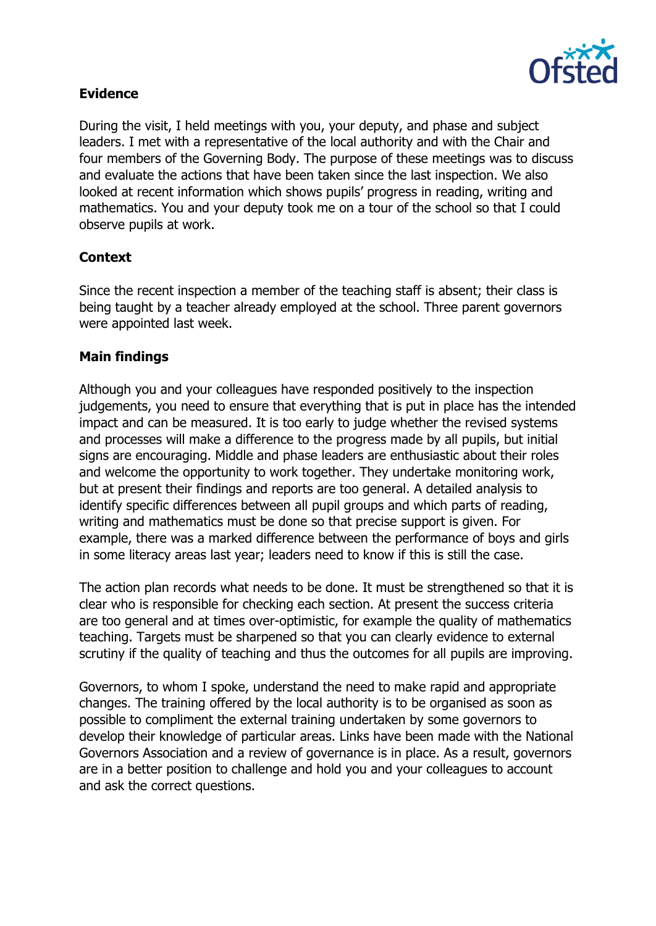

## **Evidence**

During the visit, I held meetings with you, your deputy, and phase and subject leaders. I met with a representative of the local authority and with the Chair and four members of the Governing Body. The purpose of these meetings was to discuss and evaluate the actions that have been taken since the last inspection. We also looked at recent information which shows pupils' progress in reading, writing and mathematics. You and your deputy took me on a tour of the school so that I could observe pupils at work.

# **Context**

Since the recent inspection a member of the teaching staff is absent; their class is being taught by a teacher already employed at the school. Three parent governors were appointed last week.

## **Main findings**

Although you and your colleagues have responded positively to the inspection judgements, you need to ensure that everything that is put in place has the intended impact and can be measured. It is too early to judge whether the revised systems and processes will make a difference to the progress made by all pupils, but initial signs are encouraging. Middle and phase leaders are enthusiastic about their roles and welcome the opportunity to work together. They undertake monitoring work, but at present their findings and reports are too general. A detailed analysis to identify specific differences between all pupil groups and which parts of reading, writing and mathematics must be done so that precise support is given. For example, there was a marked difference between the performance of boys and girls in some literacy areas last year; leaders need to know if this is still the case.

The action plan records what needs to be done. It must be strengthened so that it is clear who is responsible for checking each section. At present the success criteria are too general and at times over-optimistic, for example the quality of mathematics teaching. Targets must be sharpened so that you can clearly evidence to external scrutiny if the quality of teaching and thus the outcomes for all pupils are improving.

Governors, to whom I spoke, understand the need to make rapid and appropriate changes. The training offered by the local authority is to be organised as soon as possible to compliment the external training undertaken by some governors to develop their knowledge of particular areas. Links have been made with the National Governors Association and a review of governance is in place. As a result, governors are in a better position to challenge and hold you and your colleagues to account and ask the correct questions.